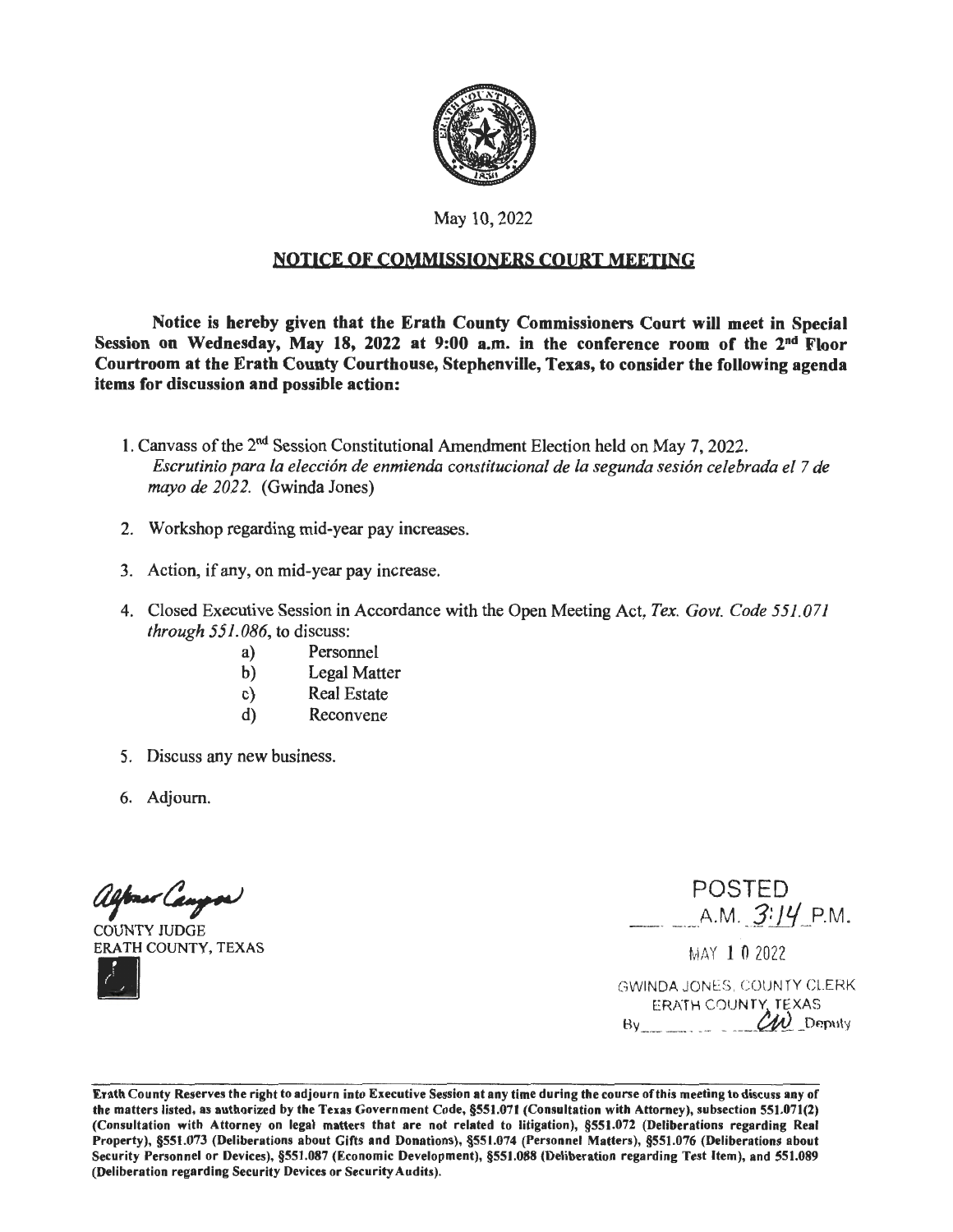

### May 10, 2022

### NOTICE OF COMMISSIONERS COURT MEETING

Notice is hereby given that the Erath County Commissioners Court will meet in Special Session on Wednesday, May 18, 2022 at 9:00 a.m. in the conference room of the 2<sup>nd</sup> Floor Courtroom at the Erath County Courthouse, Stephenville, Texas, to consider the following agenda items for discussion and possible action:

- 1. Canvass of the 2nd Session Constitutional Amendment Election held on May 7, 2022. *Escrutinio para la elecci6n de enmienda constitucional de la segunda sesi6n celebrada el* 7 *de mayo de 2022.* (Gwinda Jones)
- 2. Workshop regarding mid-year pay increases.
- 3. Action, if any, on mid-year pay increase.
- 4. Closed Executive Session in Accordance with the Open Meeting Act, *Tex. Govt. Code 551.071 through 551.086,* to discuss:
	- a) Personnel
	- b) Legal Matter
	- c) Real Estate
	- d) Reconvene
- 5. Discuss any new business.
- 6. Adjourn.

alfons Campor

COUNTY JUDGE<br>ERATH COUNTY, TEXAS

POSTED  $A.M. 3:14 P.M.$ <br>MAY 1 0 2022

GWINDA JONES, COUNTY CL.ERK ERATH COUNTY, TEXAS  $\mathcal{U}$  Deputy

Erath County Reserves the right to adjourn into Executive Session **at** any time during the course of this meeting to discuss any of the matters listed, as authorized by the Texas Government Code, §551.071 (Consultation with Attorney), subsection 551.071(2) (Consultation with Attorney on legal matters that are not related to litigation), §551.072 (Deliberations regarding Real Property), §551.073 (Deliberations about Gifts and Donations), §551.074 (Personnel Matters), §551.076 (Deliberations about Security Personnel or Devices), §551.087 (Economic Development), §551.088 (Deliberation regarding Test Item), and 551.089 (Deliberation regarding Security Devices or Security Audits).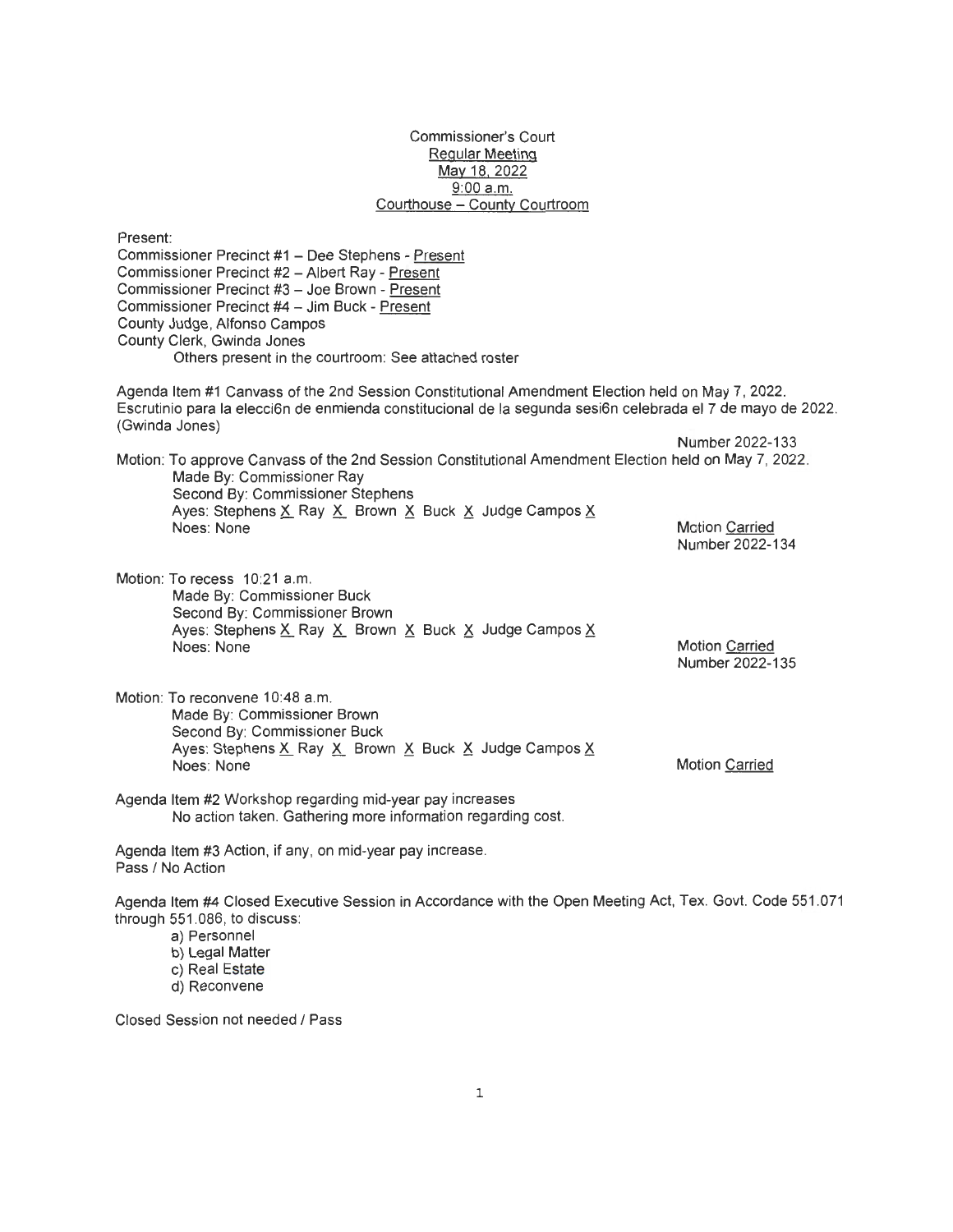#### Commissioner's Court Regular Meeting May 18, 2022 9:00 a.m. Courthouse - County Courtroom

Present: Commissioner Precinct #1 - Dee Stephens - Present Commissioner Precinct #2 - Albert Ray - Present Commissioner Precinct #3 - Joe Brown - Present Commissioner Precinct #4 - Jim Buck - Present County Judge, Alfonso Campos County Clerk, Gwinda Jones Others present in the courtroom: See attached roster

Agenda Item #1 Canvass of the 2nd Session Constitutional Amendment Election held on May 7, 2022. Escrutinio para la elecci6n de enmienda constitucional de la segunda sesi6n celebrada el 7 de mayo de 2022. (Gwinda Jones)

Motion: To approve Canvass of the 2nd Session Constitutional Amendment Election held on May 7, 2022. Made By: Commissioner Ray Second By: Commissioner Stephens Ayes: Stephens X\_ Ray X\_ Brown X\_ Buck X\_ Judge Campos X\_<br>Noes: None Motion Carried Number 2022-134

Motion: To recess 10:21 a.m. Made By: Commissioner Buck Second By: Commissioner Brown Ayes: Stephens X\_ Ray X\_ Brown X\_ Buck X\_ Judge Campos X Noes: None

Motion Carried Number 2022-135

Motion Carried

Number 2022-133

Motion: To reconvene 10:48 a.m. Made By: Commissioner Brown Second By: Commissioner Buck Ayes: Stephens X\_ Ray X\_ Brown X\_ Buck X\_ Judge Campos X Noes: None

Agenda Item #2 Workshop regarding mid-year pay increases

No action taken. Gathering more information regarding cost.

Agenda Item #3 Action, if any, on mid-year pay increase. Pass / No Action

Agenda Item #4 Closed Executive Session in Accordance with the Open Meeting Act, Tex. Govt. Code 551 .071 through 551 .086, to discuss:

- a) Personnel
- b) Legal Matter
- c) Real Estate
- d) Reconvene

Closed Session not needed / Pass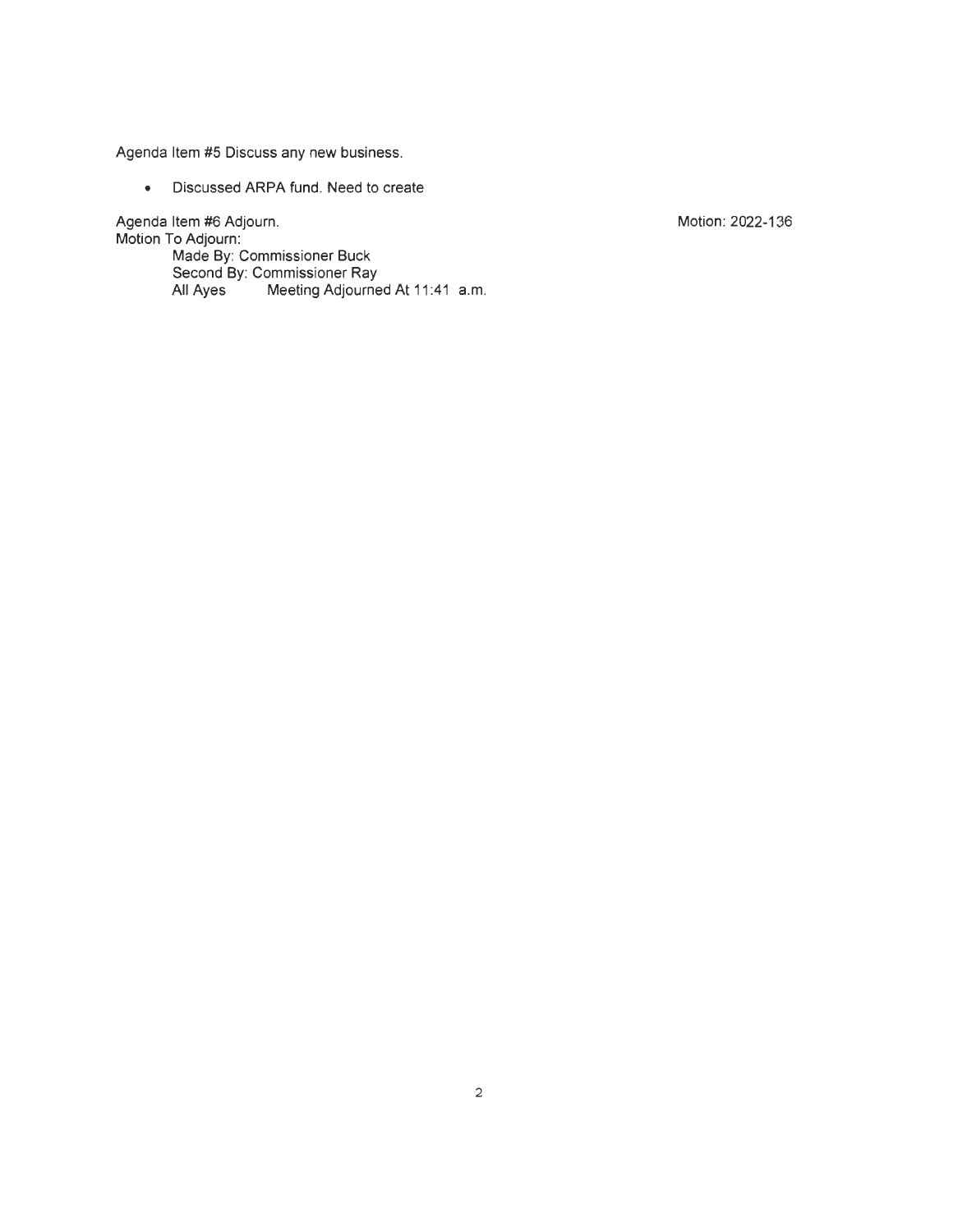Agenda Item #5 Discuss any new business.

• Discussed ARPA fund. Need to create

Agenda Item #6 Adjourn.

Motion To Adjourn: Made By: Commissioner Buck Second By: Commissioner Ray All Ayes Meeting Adjourned At 11 :41 a.m. Motion: 2022-136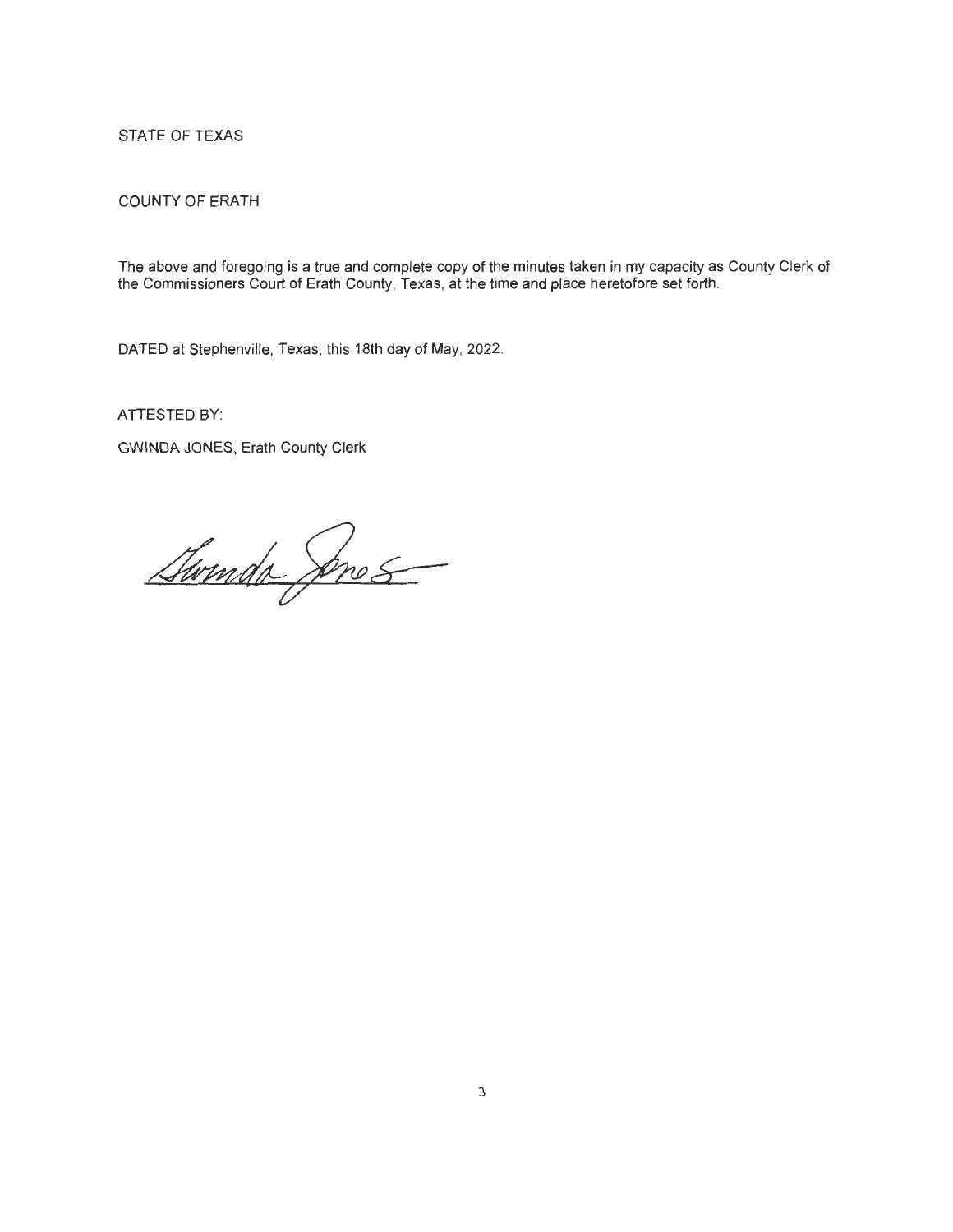### STATE OF TEXAS

### COUNTY OF ERATH

The above and foregoing is a true and complete copy of the minutes taken in my capacity as County Clerk of the Commissioners Court of Erath County, Texas, at the time and place heretofore set forth.

DATED at Stephenville, Texas, this 18th day of May, 2022.

ATIESTED BY:

GWINDA JONES, Erath County Clerk

Swinds Ares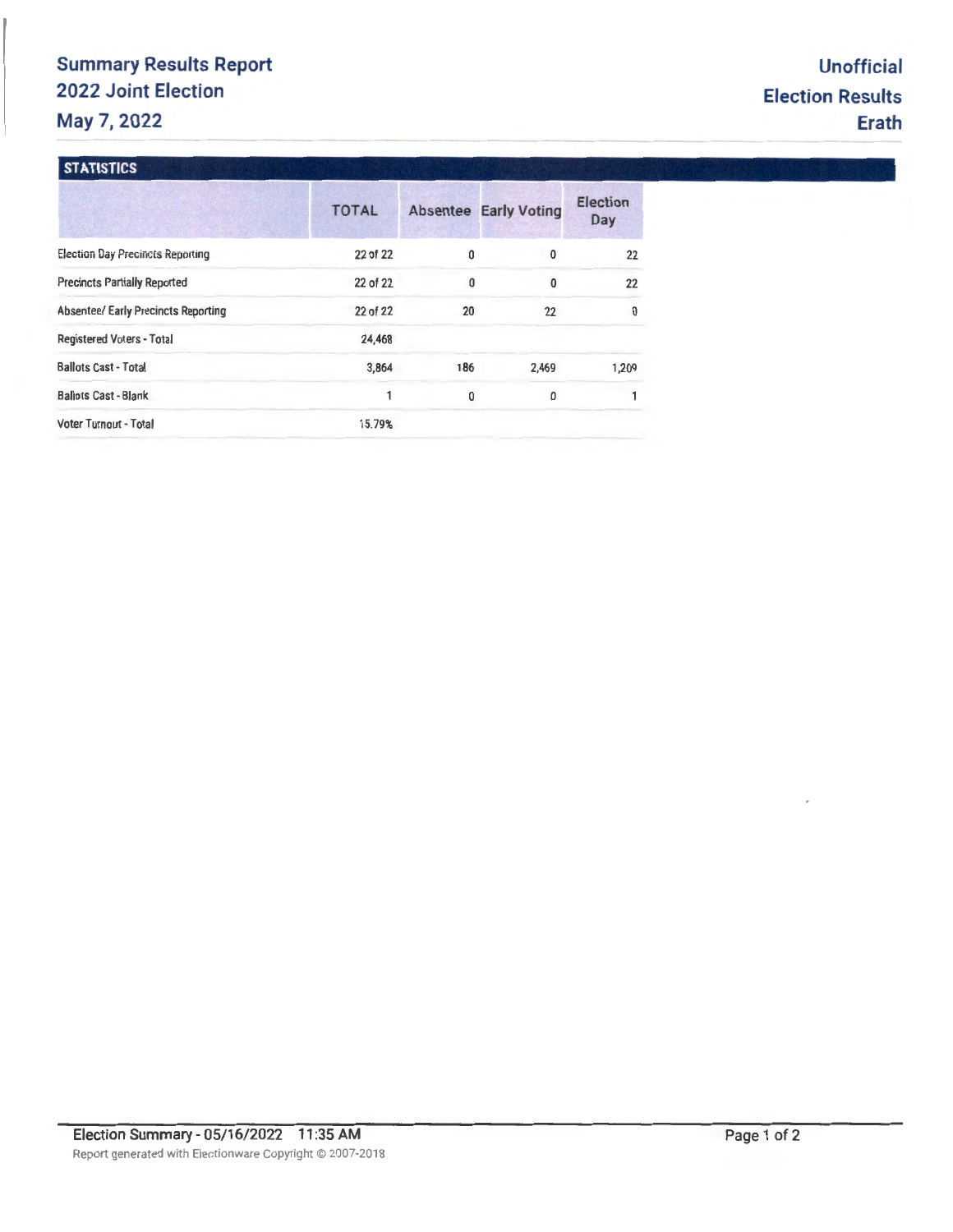# **Summary Results Report 2022 Joint Election May 7, 2022**

### **STATISTICS**

|                                            | <b>TOTAL</b> |     | <b>Absentee Early Voting</b> | Election<br><b>Day</b> |
|--------------------------------------------|--------------|-----|------------------------------|------------------------|
| <b>Election Day Precincts Reporting</b>    | 22 of 22     | 0   | $\bf{0}$                     | 22                     |
| <b>Precincts Partially Reported</b>        | 22 of 22     | 0   | 0                            | 22                     |
| <b>Absentee/ Early Precincts Reporting</b> | 22 of 22     | 20  | 22                           | $\mathbf 0$            |
| <b>Registered Voters - Total</b>           | 24,468       |     |                              |                        |
| <b>Ballots Cast - Total</b>                | 3,864        | 186 | 2,469                        | 1,209                  |
| <b>Ballots Cast - Blank</b>                | 1            | 0   | 0                            |                        |
| Voter Turnout - Total                      | 15.79%       |     |                              |                        |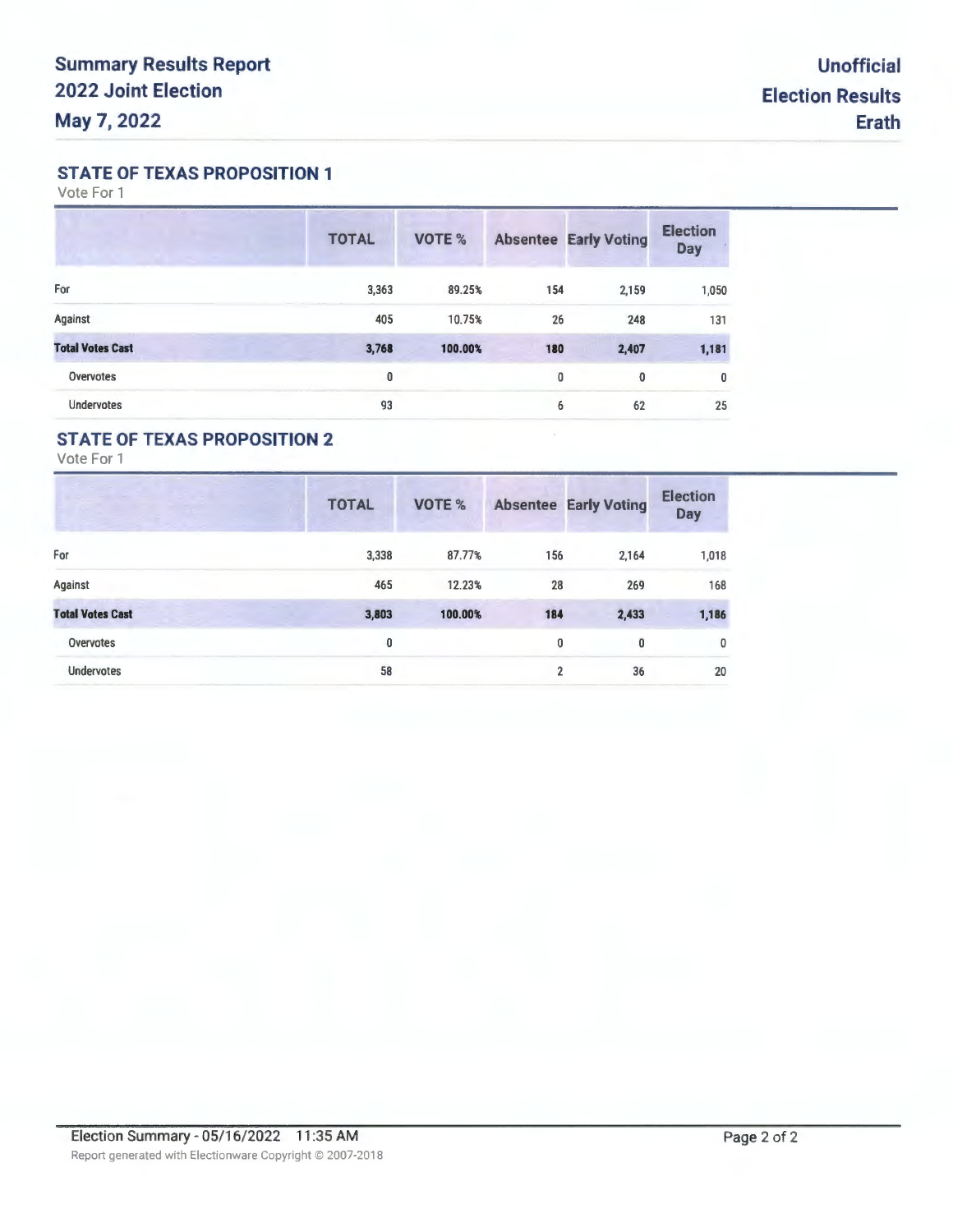### **STATE OF TEXAS PROPOSITION 1**

Vote For 1

|                         | <b>TOTAL</b> | VOTE %  |             | <b>Absentee Early Voting</b> | <b>Election</b><br><b>Day</b> |
|-------------------------|--------------|---------|-------------|------------------------------|-------------------------------|
| For                     | 3,363        | 89.25%  | 154         | 2,159                        | 1,050                         |
| Against                 | 405          | 10.75%  | 26          | 248                          | 131                           |
| <b>Total Votes Cast</b> | 3,768        | 100.00% | 180         | 2,407                        | 1,181                         |
| <b>Overvotes</b>        | 0            |         | $\mathbf 0$ | 0                            | 0                             |
| <b>Undervotes</b>       | 93           |         | 6           | 62                           | 25                            |

# **STATE OF TEXAS PROPOSITION 2**

Vote For 1

| v.                      | <b>TOTAL</b> | VOTE %  |                | <b>Absentee Early Voting</b> | <b>Election</b><br><b>Day</b> |
|-------------------------|--------------|---------|----------------|------------------------------|-------------------------------|
| For                     | 3,338        | 87.77%  | 156            | 2,164                        | 1,018                         |
| Against                 | 465          | 12.23%  | 28             | 269                          | 168                           |
| <b>Total Votes Cast</b> | 3,803        | 100.00% | 184            | 2,433                        | 1,186                         |
| Overvotes               | 0            |         | 0              | 0                            | 0                             |
| <b>Undervotes</b>       | 58           |         | $\overline{2}$ | 36                           | 20                            |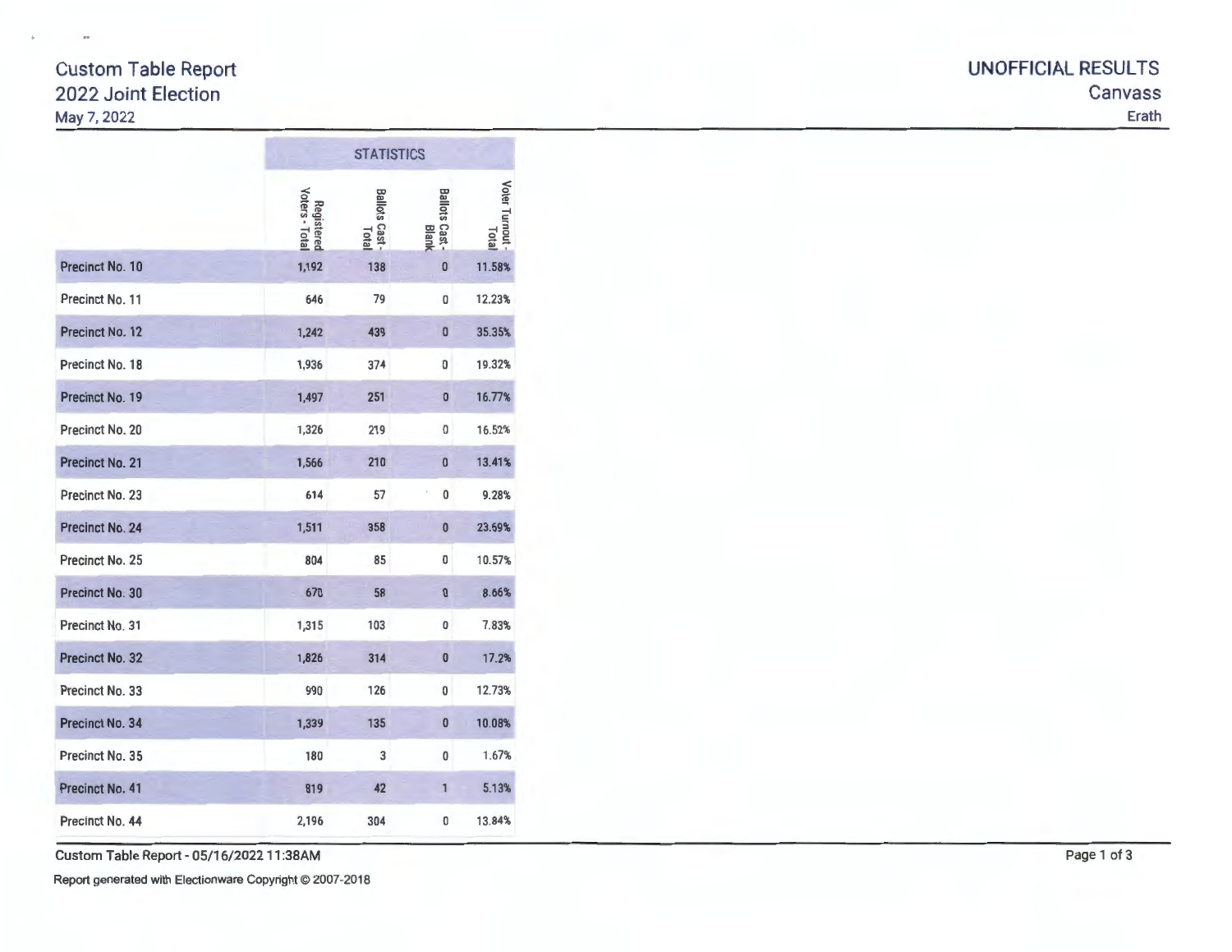# Custom Table Report UNOFFICIAL RESULTS May 7, 2022 Erath

|                        |                              | <b>STATISTICS</b>       |                                  |                        |  |  |  |  |
|------------------------|------------------------------|-------------------------|----------------------------------|------------------------|--|--|--|--|
|                        | Voters - Total<br>Registered | Ballots Cast -<br>Total | Ballots Cast -<br>Ballots Cast - | Voter Turnout<br>Total |  |  |  |  |
| Precinct No. 10        | 1,192                        | 138                     | $\overline{0}$                   | 11.58%                 |  |  |  |  |
| Precinct No. 11        | 646                          | 79                      | 0                                | 12.23%                 |  |  |  |  |
| Precinct No. 12        | 1,242                        | 439                     | $\bf{0}$                         | 35.35%                 |  |  |  |  |
| Precinct No. 18        | 1,936                        | 374                     | 0                                | 19.32%                 |  |  |  |  |
| Precinct No. 19        | 1,497                        | 251                     | $\mathbf{0}$                     | 16.77%                 |  |  |  |  |
| Precinct No. 20        | 1,326                        | 219                     | 0                                | 16.52%                 |  |  |  |  |
| Precinct No. 21        | 1,566                        | 210                     | 0                                | 13.41%                 |  |  |  |  |
| Precinct No. 23        | 614                          | 57                      | 0                                | 9.28%                  |  |  |  |  |
| <b>Precinct No. 24</b> | 1,511                        | 358                     | $\bf{0}$                         | 23.69%                 |  |  |  |  |
| Precinct No. 25        | 804                          | 85                      | O                                | 10.57%                 |  |  |  |  |
| Precinct No. 30        | 670                          | 58                      | $\bf{0}$                         | 8.66%                  |  |  |  |  |
| Precinct No. 31        | 1,315                        | 103                     | 0                                | 7.83%                  |  |  |  |  |
| <b>Precinct No. 32</b> | 1,826                        | 314                     | 0                                | 17.2%                  |  |  |  |  |
| Precinct No. 33        | 990                          | 126                     | 0                                | 12.73%                 |  |  |  |  |
| Precinct No. 34        | 1,339                        | 135                     | 0                                | 10.08%                 |  |  |  |  |
| Precinct No. 35        | 180                          | 3                       | 0                                | 1.67%                  |  |  |  |  |
| Precinct No. 41        | 819                          | 42                      | 1                                | 5.13%                  |  |  |  |  |
| Precinct No. 44        | 2,196                        | 304                     | 0                                | 13.84%                 |  |  |  |  |

Custom Table Report - 05/16/2022 11 :38AM Page 1 of 3

Report generated with Electionware Copyright © 2007-2018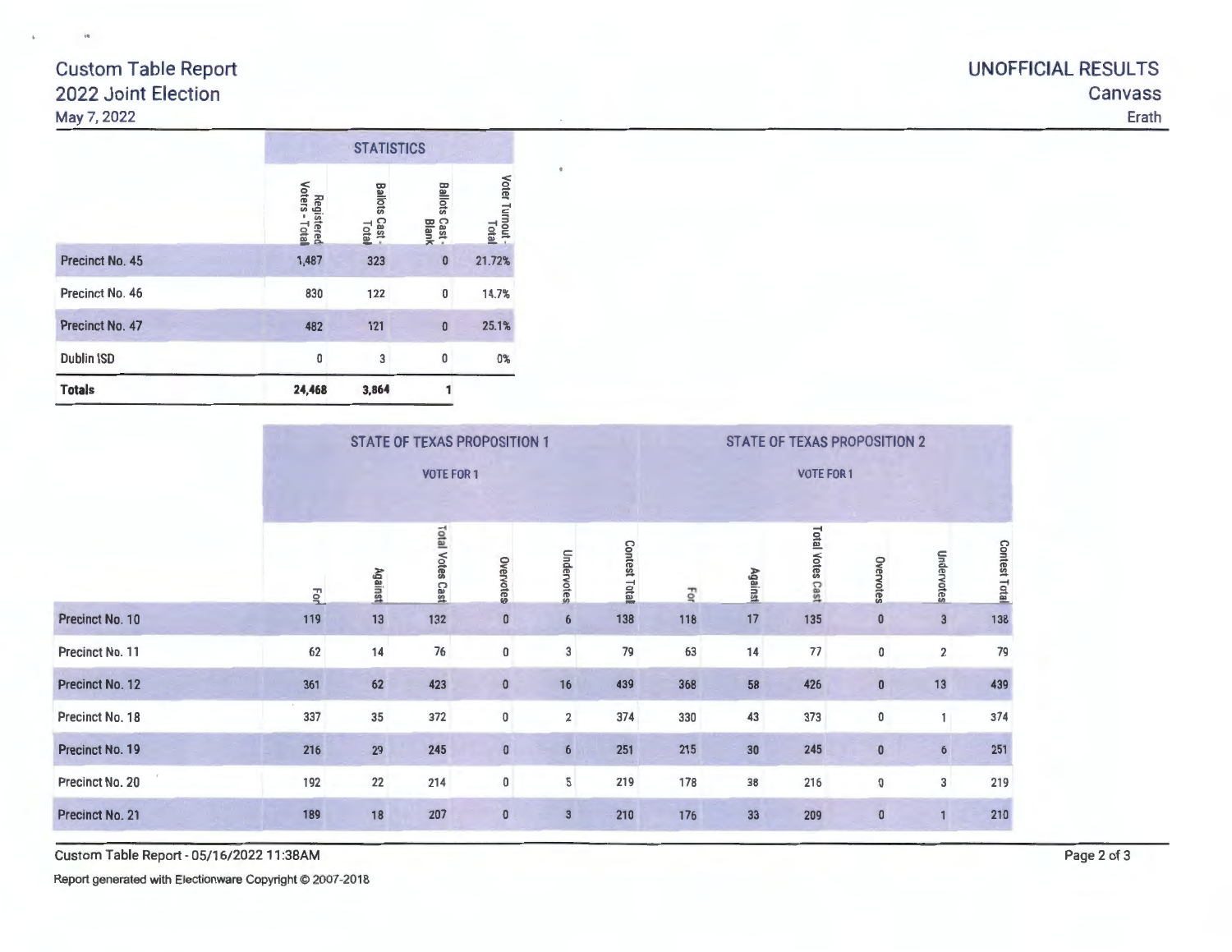# Custom Table Report 2022 Joint Election May 7, 2022

|                   | <b>STATISTICS</b>            |                              |                            |                 |  |  |  |
|-------------------|------------------------------|------------------------------|----------------------------|-----------------|--|--|--|
|                   | Registered<br>Voters - Total | <b>Ballots Cast</b><br>Total | Ballots<br>Cast -<br>Blank | Voter Turnout - |  |  |  |
| Precinct No. 45   | 1,487                        | 323                          | $\mathbf 0$                | 21.72%          |  |  |  |
| Precinct No. 46   | 830                          | 122                          | $\bf{0}$                   | 14.7%           |  |  |  |
| Precinct No. 47   | 482                          | 121                          | $\bf{0}$                   | 25.1%           |  |  |  |
| <b>Dublin ISD</b> | 0                            | 3                            | 0                          | $0\%$           |  |  |  |
| <b>Totals</b>     | 24,468                       | 3,864                        |                            |                 |  |  |  |

|                        |     | <b>STATE OF TEXAS PROPOSITION 1</b> |                         |                      |                 |                     |     |         | <b>STATE OF TEXAS PROPOSITION 2</b> |              |                         |                     |
|------------------------|-----|-------------------------------------|-------------------------|----------------------|-----------------|---------------------|-----|---------|-------------------------------------|--------------|-------------------------|---------------------|
|                        |     | <b>VOTE FOR 1</b>                   |                         |                      |                 |                     |     |         | <b>VOTE FOR 1</b>                   |              |                         |                     |
|                        | For | <b>Against</b>                      | <b>Total Votes Cast</b> | Overvotes            | Undervotes      | <b>Contest Tota</b> | 광   | Against | <b>Total Votes Cast</b>             | Overvotes    | Undervotes              | <b>Contest Tota</b> |
| Precinct No. 10        | 119 | 13                                  | 132                     | $\bf{0}$             | $6\phantom{.}6$ | 138                 | 118 | 17      | 135                                 | $\bf{0}$     | $\overline{\mathbf{3}}$ | 138                 |
| Precinct No. 11        | 62  | 14                                  | 76                      | $\pmb{0}$            | 3               | 79                  | 63  | 14      | 77                                  | $\pmb{0}$    | $\overline{\mathbf{2}}$ | 79                  |
| Precinct No. 12        | 361 | 62                                  | 423                     | $\pmb{0}$            | 16              | 439                 | 368 | 58      | 426                                 | $\pmb{0}$    | 13                      | 439                 |
| Precinct No. 18        | 337 | 35                                  | 372                     | $\pmb{0}$            | $\overline{2}$  | 374                 | 330 | 43      | 373                                 | 0            | 1                       | 374                 |
| Precinct No. 19        | 216 | 29                                  | 245                     | $\pmb{\mathfrak{g}}$ | 6               | 251                 | 215 | 30      | 245                                 | $\pmb{0}$    | $\boldsymbol{6}$        | 251                 |
| Precinct No. 20        | 192 | 22                                  | 214                     | $\pmb{0}$            | $\sqrt{5}$      | 219                 | 178 | 38      | 216                                 | 0            | 3                       | 219                 |
| <b>Precinct No. 21</b> | 189 | 18                                  | 207                     | $\pmb{0}$            | $\overline{3}$  | 210                 | 176 | 33      | 209                                 | $\mathbf{0}$ |                         | 210                 |

 $\bullet$ 

Custom Table Report - 05/16/2022 11 :38AM

Report generated with Electionware Copyright © 2007-2018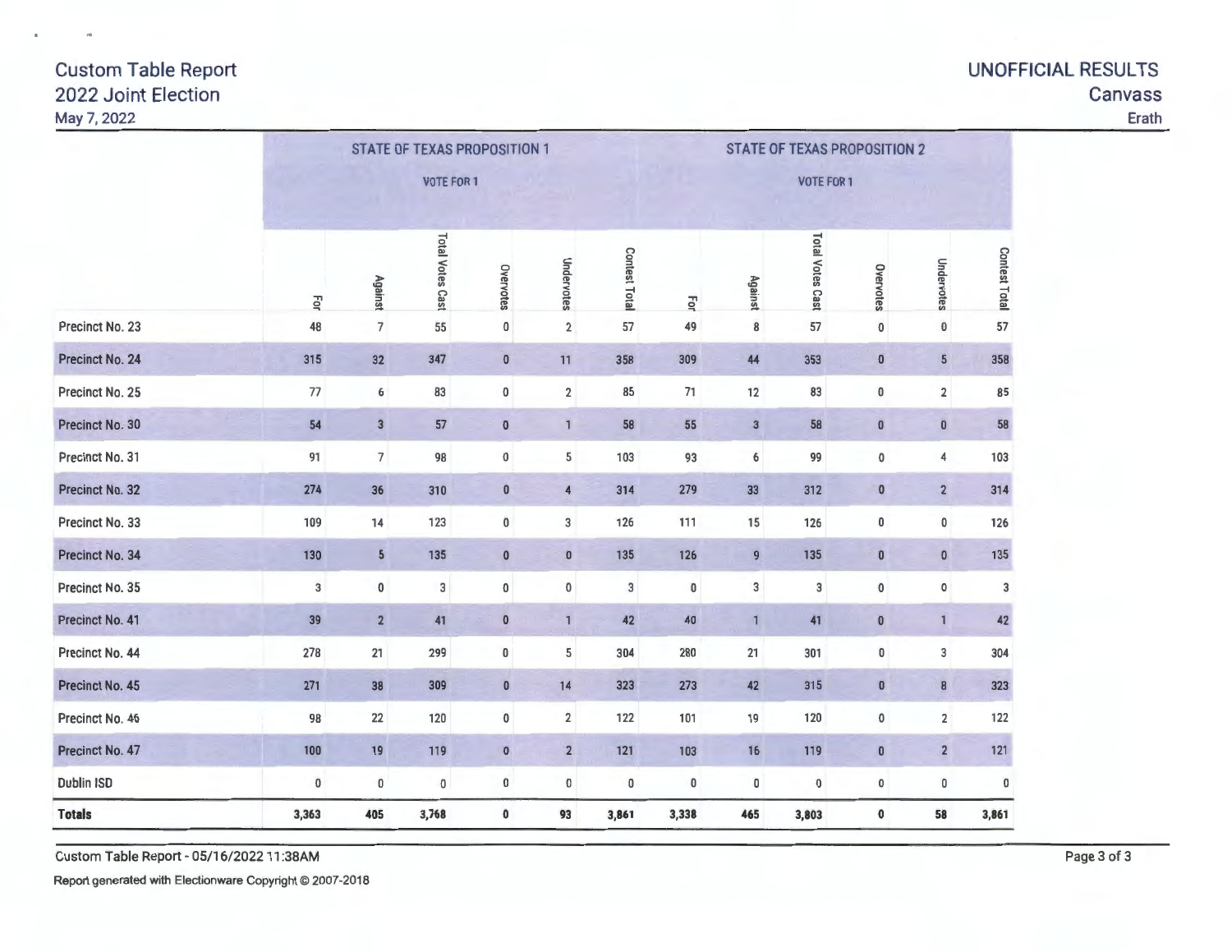# May 7, 2022 Erath

# Custom Table Report UNOFFICIAL RESULTS 2022 Joint Election Canvass

|                        | <b>STATE OF TEXAS PROPOSITION 1</b> |                          |                         |                |                         |               | <b>STATE OF TEXAS PROPOSITION 2</b> |                |                         |           |                         |                      |  |
|------------------------|-------------------------------------|--------------------------|-------------------------|----------------|-------------------------|---------------|-------------------------------------|----------------|-------------------------|-----------|-------------------------|----------------------|--|
|                        | <b>VOTE FOR 1</b>                   |                          |                         |                |                         |               | <b>VOTE FOR 1</b>                   |                |                         |           |                         |                      |  |
|                        | For                                 | Against                  | <b>Total Votes Cast</b> | Overvotes      | Undervotes              | Contest Total | For                                 | <b>Against</b> | <b>Total Votes Cast</b> | Overvotes | Undervotes              | <b>Contest Total</b> |  |
| Precinct No. 23        | 48                                  | $\overline{7}$           | 55                      | 0              | $\overline{2}$          | 57            | 49                                  | 8              | 57                      | $\pmb{0}$ | $\pmb{0}$               | 57                   |  |
| Precinct No. 24        | 315                                 | 32                       | 347                     | $\mathbf 0$    | 11                      | 358           | 309                                 | 44             | 353                     | $\pmb{0}$ | $5\overline{)}$         | 358                  |  |
| Precinct No. 25        | 77                                  | 6                        | 83                      | 0              | $\overline{\mathbf{2}}$ | 85            | 71                                  | 12             | 83                      | 0         | $\overline{\mathbf{2}}$ | 85                   |  |
| Precinct No. 30        | 54                                  | $\overline{3}$           | 57                      | $\pmb{0}$      | $\mathbf{1}$            | 58            | 55                                  | 3              | 58                      | $\pmb{0}$ | $\pmb{0}$               | 58                   |  |
| Precinct No. 31        | 91                                  | $\overline{\phantom{a}}$ | 98                      | $\pmb{0}$      | 5                       | 103           | 93                                  | 6              | 99                      | $\pmb{0}$ | 4                       | 103                  |  |
| Precinct No. 32        | 274                                 | 36                       | 310                     | $\pmb{0}$      | $\overline{\mathbf{4}}$ | 314           | 279                                 | 33             | 312                     | $\bf{0}$  | $\overline{2}$          | 314                  |  |
| Precinct No. 33        | 109                                 | 14                       | 123                     | 0              | 3                       | 126           | 111                                 | 15             | 126                     | $\pmb{0}$ | $\pmb{0}$               | 126                  |  |
| Precinct No. 34        | 130                                 | $5\phantom{.0}$          | 135                     | $\pmb{0}$      | $\bf{0}$                | 135           | 126                                 | 9              | 135                     | $\pmb{0}$ | $\bf 0$                 | 135                  |  |
| Precinct No. 35        | $\overline{3}$                      | 0                        | 3                       | 0              | $\pmb{0}$               | 3             | 0                                   | 3              | $\sqrt{3}$              | $\pmb{0}$ | 0                       | 3                    |  |
| Precinct No. 41        | 39                                  | $\overline{2}$           | 41                      | $\pmb{0}$      | $\mathbf{1}$            | 42            | 40                                  | $\mathbf 1$    | 41                      | $\bf{0}$  | $\mathbf{1}$            | 42                   |  |
| Precinct No. 44        | 278                                 | 21                       | 299                     | 0              | 5                       | 304           | 280                                 | 21             | 301                     | 0         | 3                       | 304                  |  |
| <b>Precinct No. 45</b> | 271                                 | 38                       | 309                     | $\bf{0}$       | 14                      | 323           | 273                                 | 42             | 315                     | $\pmb{0}$ | $\pmb{8}$               | 323                  |  |
| Precinct No. 46        | 98                                  | 22                       | 120                     | $\pmb{0}$      | $\overline{\mathbf{2}}$ | 122           | 101                                 | 19             | 120                     | 0         | $\overline{2}$          | 122                  |  |
| Precinct No. 47        | 100                                 | 19                       | 119                     | $\overline{0}$ | $\overline{2}$          | 121           | 103                                 | 16             | 119                     | $\pmb{0}$ | $\overline{2}$          | 121                  |  |
| <b>Dublin ISD</b>      | $\pmb{0}$                           | $\pmb{0}$                | $\pmb{0}$               | 0              | $\pmb{0}$               | 0             | $\pmb{0}$                           | 0              | $\pmb{0}$               | 0         | $\pmb{0}$               | 0                    |  |
| <b>Totals</b>          | 3,363                               | 405                      | 3,768                   | 0              | 93                      | 3,861         | 3,338                               | 465            | 3,803                   | 0         | 58                      | 3,861                |  |

Custom Table Report - 05/16/202211 :38AM Page 3 of 3

Report generated with Electionware Copyright © 2007-2018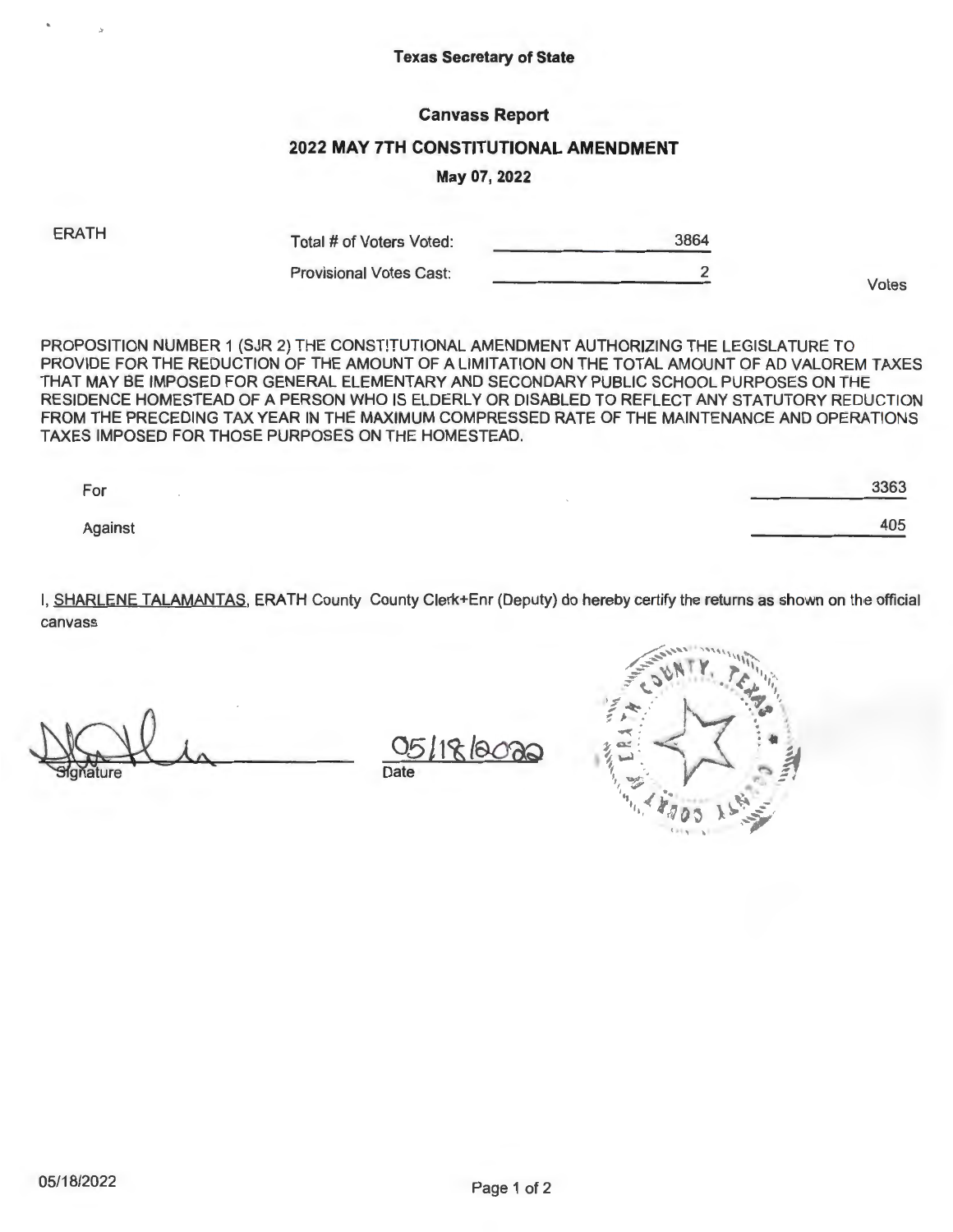### Texas Secretary of State

### Canvass Report

### 2022 MAY 7TH CONSTITUTIONAL AMENDMENT

### May 07, **2022**

ERATH

Total # of Voters Voted: 3864

Provisional Votes Cast: 2

Votes

PROPOSITION NUMBER 1 (SJR 2) THE CONSTITUTIONAL AMENDMENT AUTHORIZING THE LEGISLATURE TO PROVIDE FOR THE REDUCTION OF THE AMOUNT OF A LIMITATION ON THE TOTAL AMOUNT OF AD VALOREM TAXES THAT MAY BE IMPOSED FOR GENERAL ELEMENTARY AND SECONDARY PUBLIC SCHOOL PURPOSES ON THE

RESIDENCE HOMESTEAD OF A PERSON WHO IS ELDERLY OR DISABLED TO REFLECT ANY STATUTORY REDUCTION FROM THE PRECEDING TAX YEAR IN THE MAXIMUM COMPRESSED RATE OF THE MAINTENANCE AND OPERATIONS TAXES IMPOSED FOR THOSE PURPOSES ON THE HOMESTEAD.

For Against 3363 405

I, SHARLENE TALAMANTAS, ERATH County County Clerk+Enr (Deputy) do hereby certify the returns as shown on the official canvass

Gradure La

 $k$  120  $26$ Date